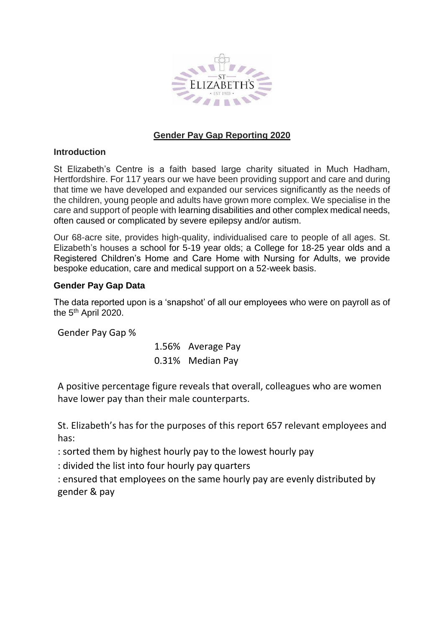

# **Gender Pay Gap Reporting 2020**

## **Introduction**

St Elizabeth's Centre is a faith based large charity situated in Much Hadham, Hertfordshire. For 117 years our we have been providing support and care and during that time we have developed and expanded our services significantly as the needs of the children, young people and adults have grown more complex. We specialise in the care and support of people with learning disabilities and other complex medical needs, often caused or complicated by severe epilepsy and/or autism.

Our 68-acre site, provides high-quality, individualised care to people of all ages. St. Elizabeth's houses a school for 5-19 year olds; a College for 18-25 year olds and a Registered Children's Home and Care Home with Nursing for Adults, we provide bespoke education, care and medical support on a 52-week basis.

### **Gender Pay Gap Data**

The data reported upon is a 'snapshot' of all our employees who were on payroll as of the 5<sup>th</sup> April 2020.

Gender Pay Gap %

1.56% Average Pay 0.31% Median Pay

A positive percentage figure reveals that overall, colleagues who are women have lower pay than their male counterparts.

St. Elizabeth's has for the purposes of this report 657 relevant employees and has:

: sorted them by highest hourly pay to the lowest hourly pay

: divided the list into four hourly pay quarters

: ensured that employees on the same hourly pay are evenly distributed by gender & pay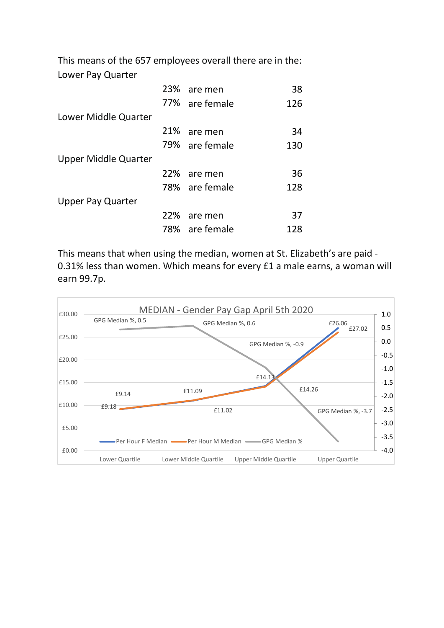This means of the 657 employees overall there are in the: Lower Pay Quarter

|  | 38                                                                                                                               |
|--|----------------------------------------------------------------------------------------------------------------------------------|
|  | 126                                                                                                                              |
|  |                                                                                                                                  |
|  | 34                                                                                                                               |
|  | 130                                                                                                                              |
|  |                                                                                                                                  |
|  | 36                                                                                                                               |
|  | 128                                                                                                                              |
|  |                                                                                                                                  |
|  | 37                                                                                                                               |
|  | 128                                                                                                                              |
|  | 23% are men<br>77% are female<br>21% are men<br>79% are female<br>22% are men<br>78% are female<br>22% are men<br>78% are female |

This means that when using the median, women at St. Elizabeth's are paid - 0.31% less than women. Which means for every £1 a male earns, a woman will earn 99.7p.

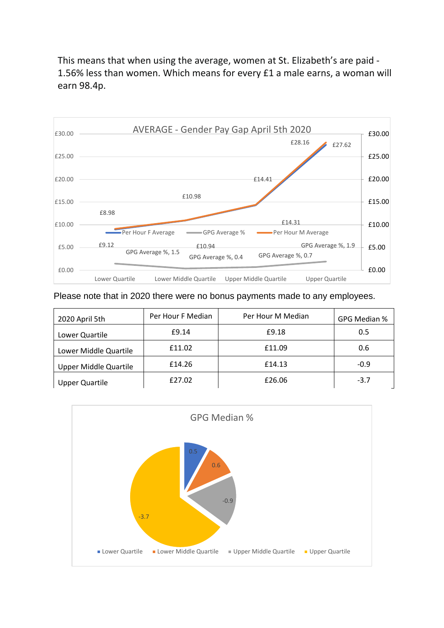This means that when using the average, women at St. Elizabeth's are paid - 1.56% less than women. Which means for every £1 a male earns, a woman will earn 98.4p.



Please note that in 2020 there were no bonus payments made to any employees.

| 2020 April 5th               | Per Hour F Median | Per Hour M Median | GPG Median % |
|------------------------------|-------------------|-------------------|--------------|
| Lower Quartile               | £9.14             | £9.18             | 0.5          |
| Lower Middle Quartile        | £11.02            | £11.09            | 0.6          |
| <b>Upper Middle Quartile</b> | £14.26            | £14.13            | $-0.9$       |
| <b>Upper Quartile</b>        | £27.02            | £26.06            | $-3.7$       |

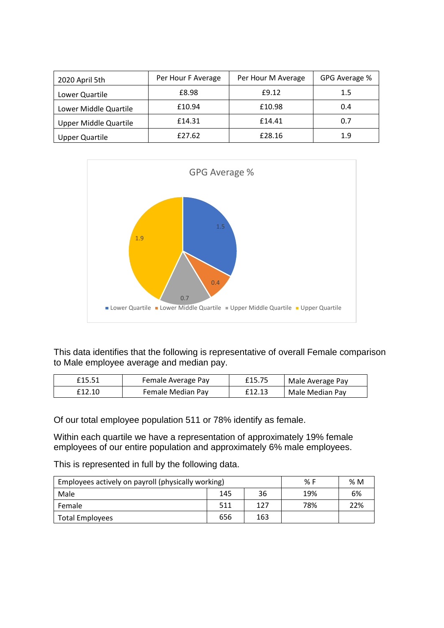| 2020 April 5th               | Per Hour F Average | Per Hour M Average | GPG Average % |
|------------------------------|--------------------|--------------------|---------------|
| Lower Quartile               | £8.98              | £9.12              | $1.5\,$       |
| Lower Middle Quartile        | £10.94             | £10.98             | 0.4           |
| <b>Upper Middle Quartile</b> | £14.31             | £14.41             | 0.7           |
| <b>Upper Quartile</b>        | £27.62             | £28.16             | 1.9           |



This data identifies that the following is representative of overall Female comparison to Male employee average and median pay.

| £15.51 | Female Average Pay | £15.75 | Male Average Pay |
|--------|--------------------|--------|------------------|
| £12.10 | Female Median Pay  | £12.13 | Male Median Pay  |

Of our total employee population 511 or 78% identify as female.

Within each quartile we have a representation of approximately 19% female employees of our entire population and approximately 6% male employees.

This is represented in full by the following data.

| Employees actively on payroll (physically working) | % F | %M  |     |     |
|----------------------------------------------------|-----|-----|-----|-----|
| Male                                               | 145 | 36  | 19% | 6%  |
| Female                                             | 511 | 127 | 78% | 22% |
| Total Employees                                    | 656 | 163 |     |     |